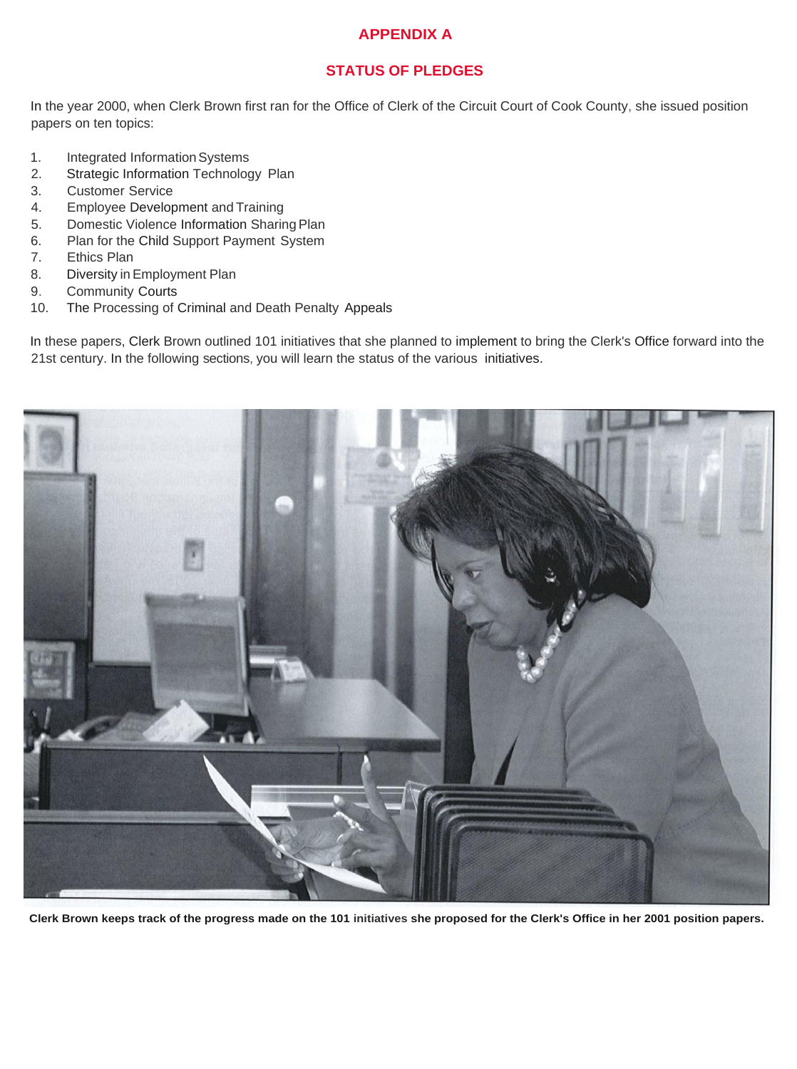#### **APPENDIX A**

#### **STATUS OF PLEDGES**

In the year 2000, when Clerk Brown first ran for the Office of Clerk of the Circuit Court of Cook County, she issued position papers on ten topics:

- 1. Integrated Information Systems
- 2. Strategic Information Technology Plan
- 3. Customer Service
- 4. Employee Development and Training
- 5. Domestic Violence Information Sharing Plan
- 6. Plan for the Child Support Payment System
- 7. Ethics Plan
- 8. Diversity in Employment Plan
- 9. Community Courts
- 10. The Processing of Criminal and Death Penalty Appeals

In these papers, Clerk Brown outlined 101 initiatives that she planned to implement to bring the Clerk's Office forward into the 21st century. In the following sections, you will learn the status of the various initiatives.



**Clerk Brown keeps track of the progress made on the 101 initiatives she proposed for the Clerk's Office in her 2001 position papers.**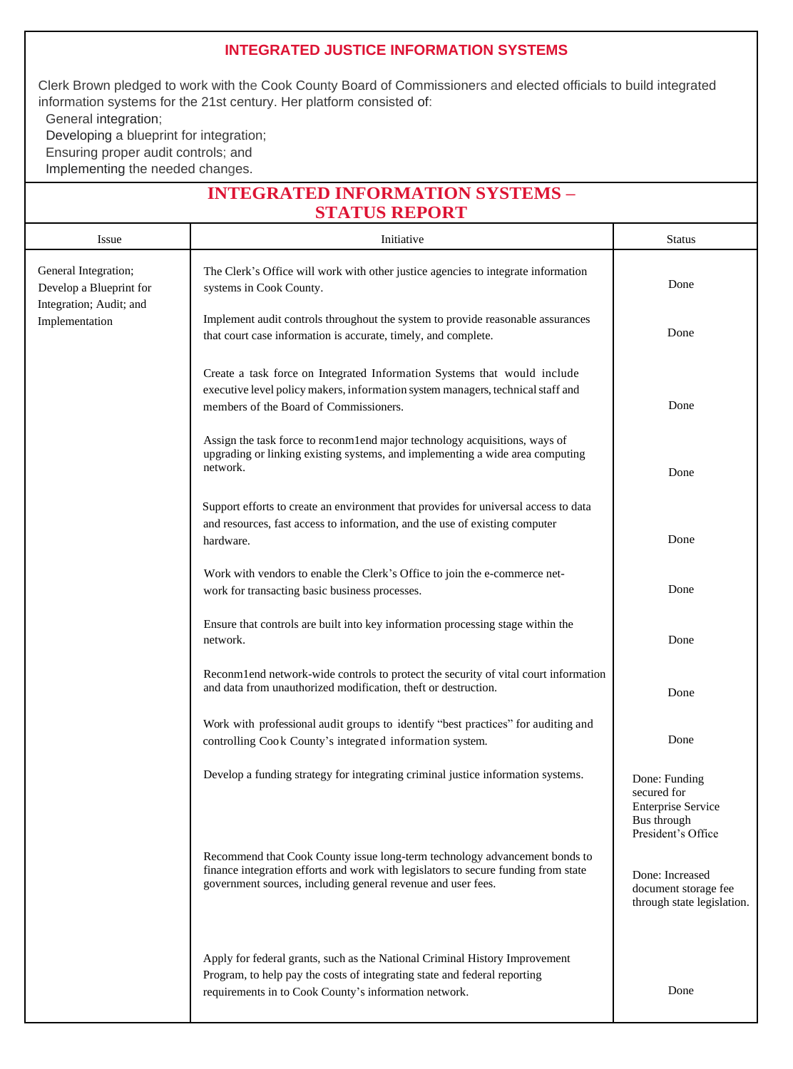#### **INTEGRATED JUSTICE INFORMATION SYSTEMS**

Clerk Brown pledged to work with the Cook County Board of Commissioners and elected officials to build integrated information systems for the 21st century. Her platform consisted of: General integration;

Developing a blueprint for integration;

Ensuring proper audit controls; and

Implementing the needed changes.

# **INTEGRATED INFORMATION SYSTEMS – STATUS REPORT**

| Issue                                                                                        | Initiative                                                                                                                                                                                                                       | <b>Status</b>                                                                                  |
|----------------------------------------------------------------------------------------------|----------------------------------------------------------------------------------------------------------------------------------------------------------------------------------------------------------------------------------|------------------------------------------------------------------------------------------------|
| General Integration;<br>Develop a Blueprint for<br>Integration; Audit; and<br>Implementation | The Clerk's Office will work with other justice agencies to integrate information<br>systems in Cook County.                                                                                                                     | Done                                                                                           |
|                                                                                              | Implement audit controls throughout the system to provide reasonable assurances<br>that court case information is accurate, timely, and complete.                                                                                | Done                                                                                           |
|                                                                                              | Create a task force on Integrated Information Systems that would include<br>executive level policy makers, information system managers, technical staff and<br>members of the Board of Commissioners.                            | Done                                                                                           |
|                                                                                              | Assign the task force to reconmend major technology acquisitions, ways of<br>upgrading or linking existing systems, and implementing a wide area computing<br>network.                                                           | Done                                                                                           |
|                                                                                              | Support efforts to create an environment that provides for universal access to data<br>and resources, fast access to information, and the use of existing computer<br>hardware.                                                  | Done                                                                                           |
|                                                                                              | Work with vendors to enable the Clerk's Office to join the e-commerce net-<br>work for transacting basic business processes.                                                                                                     | Done                                                                                           |
|                                                                                              | Ensure that controls are built into key information processing stage within the<br>network.                                                                                                                                      | Done                                                                                           |
|                                                                                              | Reconmlend network-wide controls to protect the security of vital court information<br>and data from unauthorized modification, theft or destruction.                                                                            | Done                                                                                           |
|                                                                                              | Work with professional audit groups to identify "best practices" for auditing and<br>controlling Cook County's integrated information system.                                                                                    | Done                                                                                           |
|                                                                                              | Develop a funding strategy for integrating criminal justice information systems.                                                                                                                                                 | Done: Funding<br>secured for<br><b>Enterprise Service</b><br>Bus through<br>President's Office |
|                                                                                              | Recommend that Cook County issue long-term technology advancement bonds to<br>finance integration efforts and work with legislators to secure funding from state<br>government sources, including general revenue and user fees. | Done: Increased<br>document storage fee<br>through state legislation.                          |
|                                                                                              | Apply for federal grants, such as the National Criminal History Improvement<br>Program, to help pay the costs of integrating state and federal reporting<br>requirements in to Cook County's information network.                | Done                                                                                           |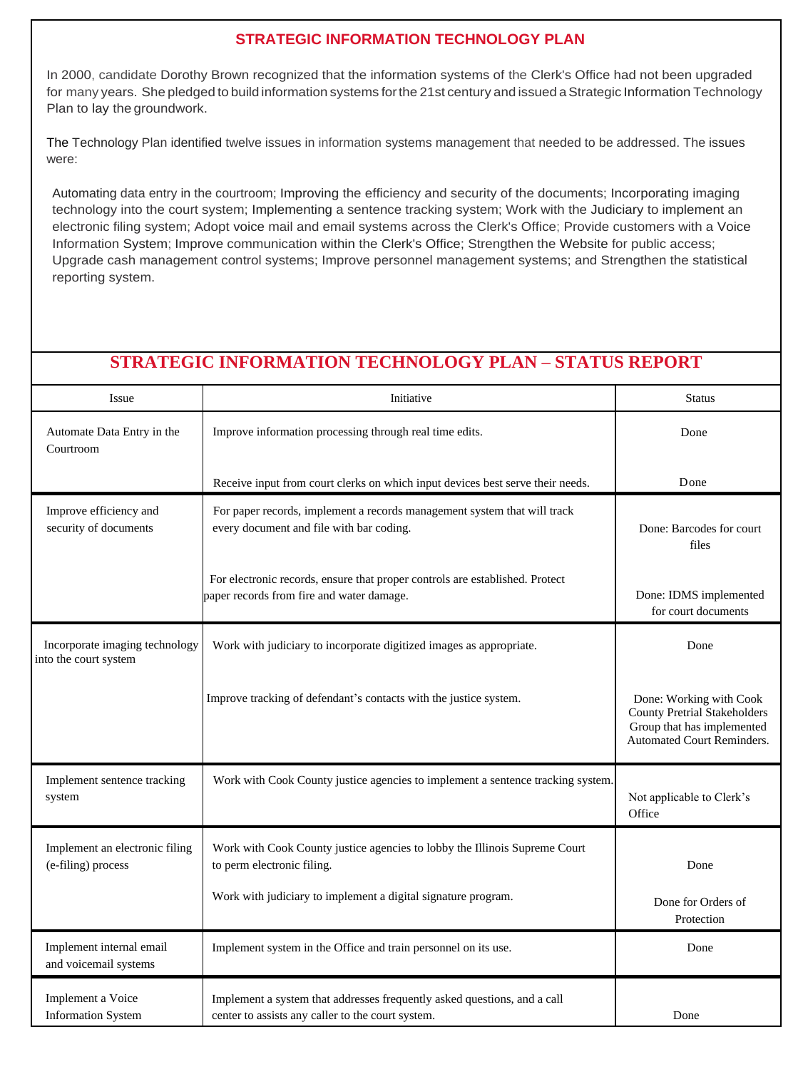## **STRATEGIC INFORMATION TECHNOLOGY PLAN**

In 2000, candidate Dorothy Brown recognized that the information systems of the Clerk's Office had not been upgraded for many years. She pledged to build information systems forthe 21st century and issued aStrategic Information Technology Plan to lay the groundwork.

The Technology Plan identified twelve issues in information systems management that needed to be addressed. The issues were:

Automating data entry in the courtroom; Improving the efficiency and security of the documents; Incorporating imaging technology into the court system; Implementing a sentence tracking system; Work with the Judiciary to implement an electronic filing system; Adopt voice mail and email systems across the Clerk's Office; Provide customers with a Voice Information System; Improve communication within the Clerk's Office; Strengthen the Website for public access; Upgrade cash management control systems; Improve personnel management systems; and Strengthen the statistical reporting system.

# **STRATEGIC INFORMATION TECHNOLOGY PLAN – STATUS REPORT**

| Issue                                                   | Initiative                                                                                                                    | <b>Status</b>                                                                                                                     |
|---------------------------------------------------------|-------------------------------------------------------------------------------------------------------------------------------|-----------------------------------------------------------------------------------------------------------------------------------|
| Automate Data Entry in the<br>Courtroom                 | Improve information processing through real time edits.                                                                       | Done                                                                                                                              |
|                                                         | Receive input from court clerks on which input devices best serve their needs.                                                | Done                                                                                                                              |
| Improve efficiency and<br>security of documents         | For paper records, implement a records management system that will track<br>every document and file with bar coding.          | Done: Barcodes for court<br>files                                                                                                 |
|                                                         | For electronic records, ensure that proper controls are established. Protect<br>paper records from fire and water damage.     | Done: IDMS implemented<br>for court documents                                                                                     |
| Incorporate imaging technology<br>into the court system | Work with judiciary to incorporate digitized images as appropriate.                                                           | Done                                                                                                                              |
|                                                         | Improve tracking of defendant's contacts with the justice system.                                                             | Done: Working with Cook<br><b>County Pretrial Stakeholders</b><br>Group that has implemented<br><b>Automated Court Reminders.</b> |
| Implement sentence tracking<br>system                   | Work with Cook County justice agencies to implement a sentence tracking system.                                               | Not applicable to Clerk's<br>Office                                                                                               |
| Implement an electronic filing<br>(e-filing) process    | Work with Cook County justice agencies to lobby the Illinois Supreme Court<br>to perm electronic filing.                      | Done                                                                                                                              |
|                                                         | Work with judiciary to implement a digital signature program.                                                                 | Done for Orders of<br>Protection                                                                                                  |
| Implement internal email<br>and voicemail systems       | Implement system in the Office and train personnel on its use.                                                                | Done                                                                                                                              |
| Implement a Voice<br><b>Information System</b>          | Implement a system that addresses frequently asked questions, and a call<br>center to assists any caller to the court system. | Done                                                                                                                              |